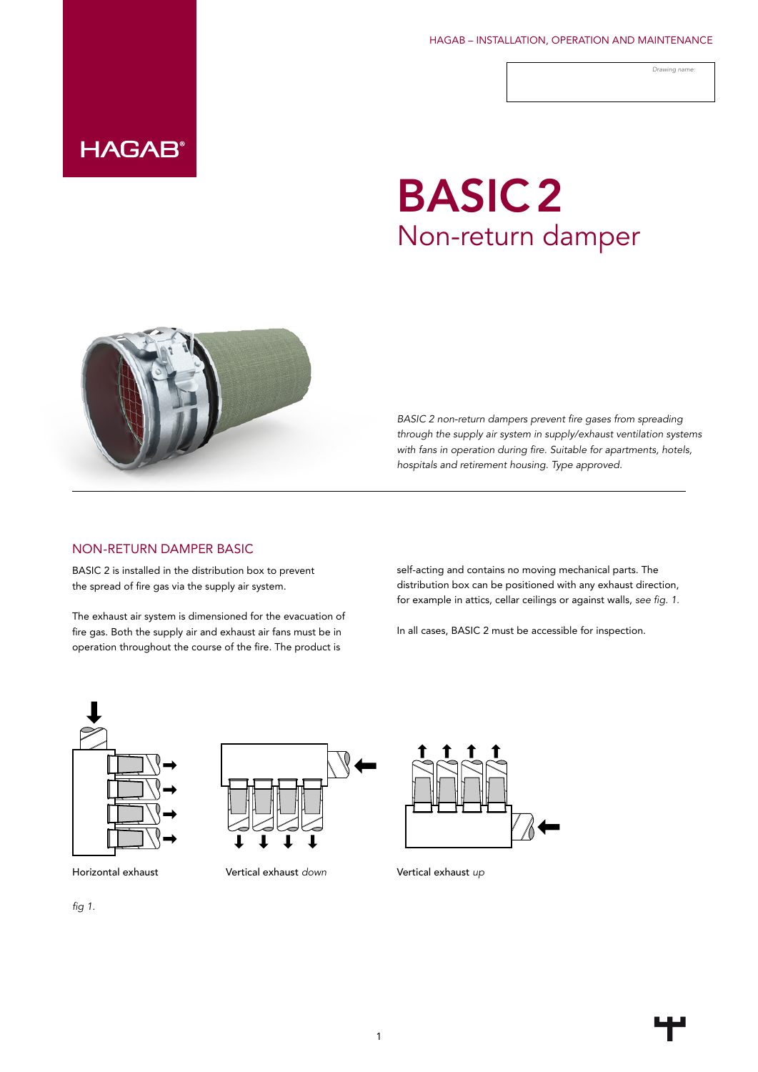HAGAB – INSTALLATION, OPERATION AND MAINTENANCE

*Drawing name:*

### **HAGAB®**

# BASIC2 Non-return damper



*BASIC 2 non-return dampers prevent fire gases from spreading through the supply air system in supply/exhaust ventilation systems with fans in operation during fire. Suitable for apartments, hotels, hospitals and retirement housing. Type approved.*

#### NON-RETURN DAMPER BASIC

BASIC 2 is installed in the distribution box to prevent the spread of fire gas via the supply air system.

The exhaust air system is dimensioned for the evacuation of fire gas. Both the supply air and exhaust air fans must be in operation throughout the course of the fire. The product is

self-acting and contains no moving mechanical parts. The distribution box can be positioned with any exhaust direction, for example in attics, cellar ceilings or against walls, *see fig. 1.*

In all cases, BASIC 2 must be accessible for inspection.



Horizontal exhaust Vertical exhaust *down* Vertical exhaust *up*

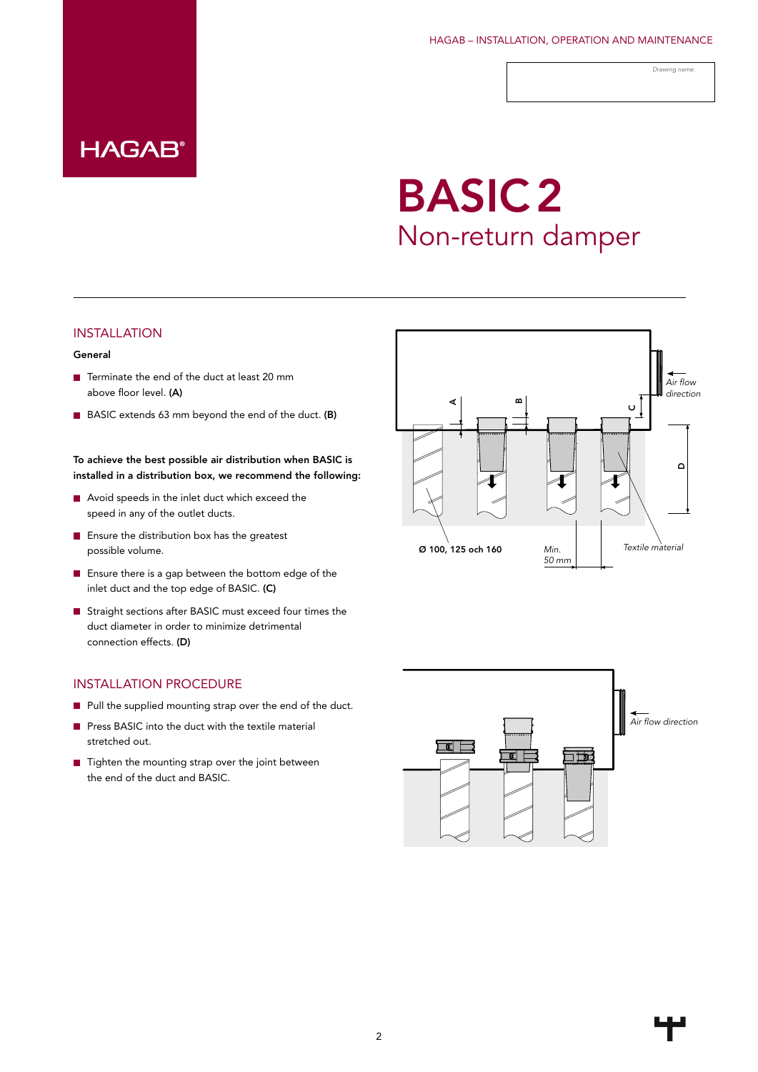HAGAB – INSTALLATION, OPERATION AND MAINTENANCE

*Drawing name:*

### **HAGAB®**

## BASIC2 Non-return damper

#### INSTALLATION

#### General

- Terminate the end of the duct at least 20 mm above floor level. (A)
- BASIC extends 63 mm beyond the end of the duct. (B)

To achieve the best possible air distribution when BASIC is installed in a distribution box, we recommend the following:

- Avoid speeds in the inlet duct which exceed the speed in any of the outlet ducts.
- **E** Ensure the distribution box has the greatest possible volume.
- **E** Ensure there is a gap between the bottom edge of the inlet duct and the top edge of BASIC. (C)
- Straight sections after BASIC must exceed four times the duct diameter in order to minimize detrimental connection effects. (D)

#### INSTALLATION PROCEDURE

- Pull the supplied mounting strap over the end of the duct.
- Press BASIC into the duct with the textile material stretched out.
- $\blacksquare$  Tighten the mounting strap over the joint between the end of the duct and BASIC.